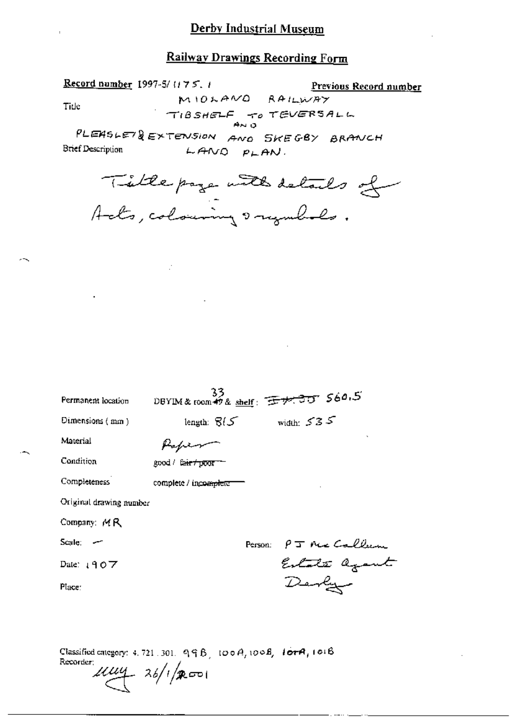Record number 1997-5/1175.1 Previous Record number MIOLAND RAILWAY Tide TIBSHELF TO TEVERSALL PLEASLET& EXTENSION AND SKEGBY BRANCH **Brief Description**  $LAMO$   $PLAN$ .

Title page with details of

 $\mathbb{R}^2$ 

| $33$<br>DBYIM&room49& <u>shelf</u> : <del>IV.30</del> S60.5 |
|-------------------------------------------------------------|
| width: $535$<br>length: $\mathcal{B}(\mathcal{S})$          |
|                                                             |
| good / fa <del>ir / poor</del>                              |
| complete / incomplete                                       |
|                                                             |
|                                                             |
| P J Nic Callum<br>Person:                                   |
| Estate agant                                                |
| Derly                                                       |
|                                                             |
| Original drawing number                                     |

Classified category: 4, 721, 301,  $99B$ , 100 $A$ , 100 $B$ , 101 $B$ , 101 $B$ Recorder:  $\mu\mu$ 4  $\frac{26}{100}$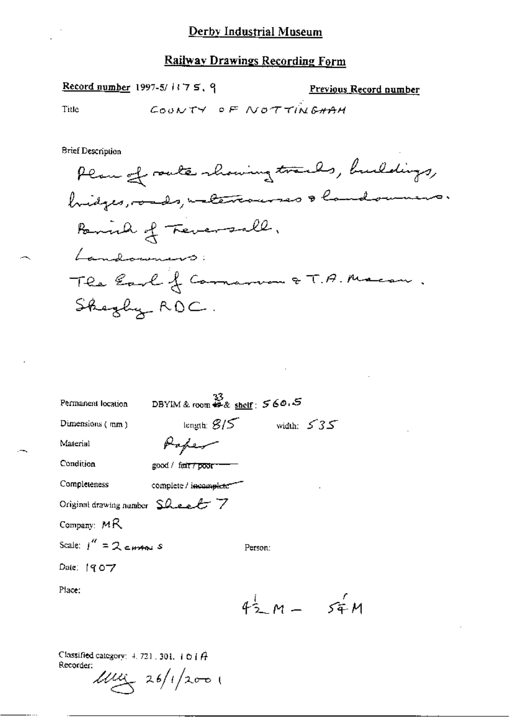Record number 1997-5/ $175.9$ 

Previous Record number

 $\lambda$ 

Title

COONTY OF NOTTINGHAM

**Brief Description** 

| Permanent location                               | ာBYIM & room <del>ဆို</del> & <u>sheir</u> : 560 ခေါ် |                            |
|--------------------------------------------------|-------------------------------------------------------|----------------------------|
| Dimensions $(mn)$                                |                                                       | length: $8/5$ width: $535$ |
| Material                                         |                                                       |                            |
| Condition                                        | good / fair <del>/poor</del>                          |                            |
| Completeness                                     | complete / incomplete                                 | ×,                         |
| Original drawing number $\Omega$ even $\Gamma$ 7 |                                                       |                            |
| Company: $MR$                                    |                                                       |                            |
| Scale: $1'' = 2$ current s                       |                                                       | Person:                    |
| Date: 1907                                       |                                                       |                            |
| Place:                                           |                                                       |                            |
|                                                  |                                                       | $42 M - 54 M$              |
|                                                  |                                                       |                            |

Classified category:  $4.721$ , 301, 101 $\hat{H}$ Recorder:

 $100 \times 26/12001$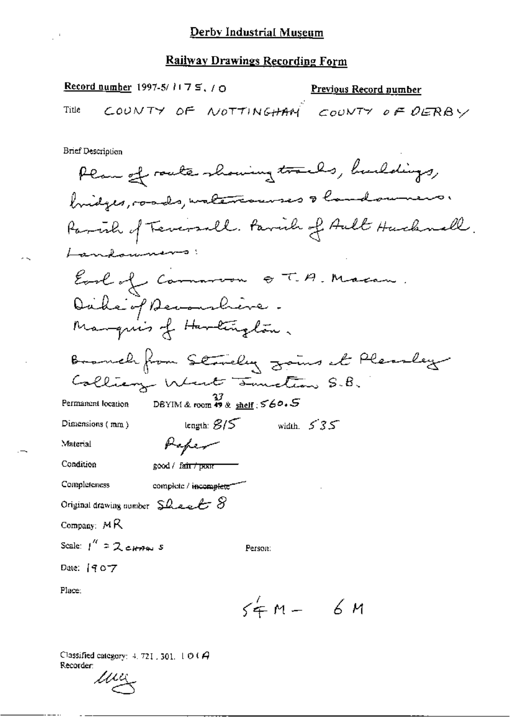|       | Record number 1997-5/ $1175, 70$ |                                      | <b>Previous Record number</b> |  |
|-------|----------------------------------|--------------------------------------|-------------------------------|--|
| Title |                                  | COUNTY OF NOTTINGHAM COUNTY OF DERBY |                               |  |

 $\overline{\phantom{a}}$ 

Brief Description

 $\mathbb{R}^3$ 

 $\sim$ 

 $\overline{\phantom{a}}$ 

| num neamhnail                                                            |
|--------------------------------------------------------------------------|
| Plan of route showing tracks, buildings,                                 |
| bridges, roads, watercourses & landowners.                               |
| Parcial of Teversall. Parcia of Ault Hucknell.                           |
| Landoumers:                                                              |
| Earl of Common QT.A. Macan.                                              |
| Dake of Accountiere.                                                     |
| Manquis of Harlington.                                                   |
| Branch from Standay going at Pleasley                                    |
| Collianz West Junction S.B.                                              |
| DBYIM & room $\overline{m}$ & shelf : $560.5$<br>Permanent location      |
| length: $\mathcal{B}/\mathcal{S}$<br>width, $535$<br>Dimensions (mm)     |
| Peper<br>Material                                                        |
| Condition<br>good / fair / pour                                          |
| Completeness<br>complete / incomplete                                    |
| Original drawing number $\mathsf{S}\mathcal{L}$ eve $\ell$ $\mathcal{S}$ |
| Company: $MR$                                                            |
| Scale: $1^{''}$ = $2$ crass s<br>Person:                                 |
| Date: [907                                                               |
| Place:                                                                   |
| $54m - 6m$                                                               |

Classified category:  $4.721$ , 301,  $1 \oplus 0$  A Recorder:

 $\mathcal{U}$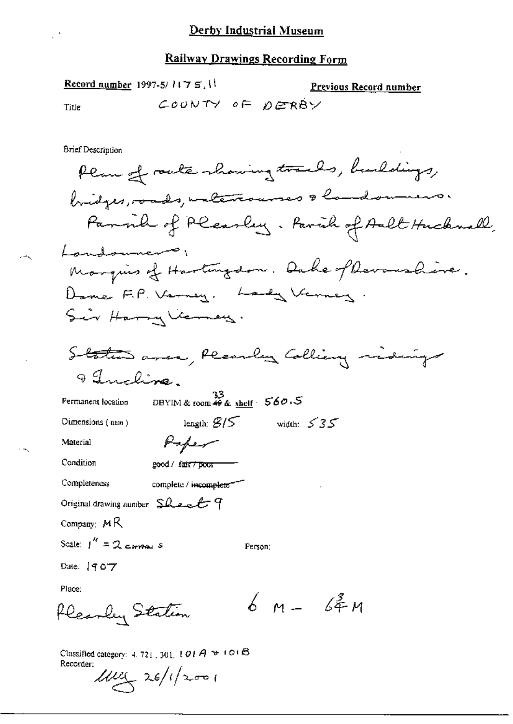Record number 1997-5/ $1175$ , 11 Previous Record number COONTY OF DERBY Title **Brief Description** Plan of route showing tracks, buildings,

bridges, roads, unterresses & handouners. Parmil of Pleasley. Parish of Ault Hicknall. Landouners, Marquis of Hartingdon. Duke of Devanshire. Dame F.P. Verney, hady Verney Sir Harry Verney.

length:  $8/5$  width:  $535$ 

DBYIM & room  $\stackrel{33}{\ast}$  & shelf  $\stackrel{56}{\ast}$  560.5 Permanent location

Poper

Dimensions  $(nu)$ 

Material

Condition good / fair / poor

Completeness complete / incomplete

Original drawing number  $SL$  e e  $f$ 

Company:  $MR$ 

Scale:  $1'' = 2$  cannot s

Person:

Date: [907

Place:

 $6M - 64M$ Flearly Station

Classified category:  $4.721$ ,  $301$ ,  $1.01A \approx 101B$ Recorder:  $11111$  26/1/2001